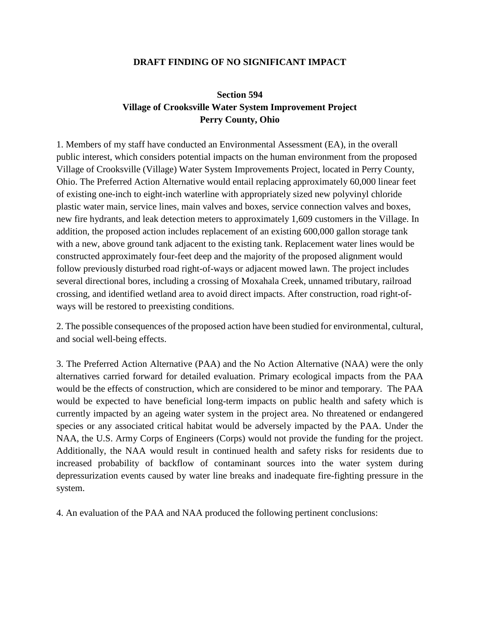## **DRAFT FINDING OF NO SIGNIFICANT IMPACT**

## **Section 594 Village of Crooksville Water System Improvement Project Perry County, Ohio**

1. Members of my staff have conducted an Environmental Assessment (EA), in the overall public interest, which considers potential impacts on the human environment from the proposed Village of Crooksville (Village) Water System Improvements Project, located in Perry County, Ohio. The Preferred Action Alternative would entail replacing approximately 60,000 linear feet of existing one-inch to eight-inch waterline with appropriately sized new polyvinyl chloride plastic water main, service lines, main valves and boxes, service connection valves and boxes, new fire hydrants, and leak detection meters to approximately 1,609 customers in the Village. In addition, the proposed action includes replacement of an existing 600,000 gallon storage tank with a new, above ground tank adjacent to the existing tank. Replacement water lines would be constructed approximately four-feet deep and the majority of the proposed alignment would follow previously disturbed road right-of-ways or adjacent mowed lawn. The project includes several directional bores, including a crossing of Moxahala Creek, unnamed tributary, railroad crossing, and identified wetland area to avoid direct impacts. After construction, road right-ofways will be restored to preexisting conditions.

2. The possible consequences of the proposed action have been studied for environmental, cultural, and social well-being effects.

3. The Preferred Action Alternative (PAA) and the No Action Alternative (NAA) were the only alternatives carried forward for detailed evaluation. Primary ecological impacts from the PAA would be the effects of construction, which are considered to be minor and temporary. The PAA would be expected to have beneficial long-term impacts on public health and safety which is currently impacted by an ageing water system in the project area. No threatened or endangered species or any associated critical habitat would be adversely impacted by the PAA. Under the NAA, the U.S. Army Corps of Engineers (Corps) would not provide the funding for the project. Additionally, the NAA would result in continued health and safety risks for residents due to increased probability of backflow of contaminant sources into the water system during depressurization events caused by water line breaks and inadequate fire-fighting pressure in the system.

4. An evaluation of the PAA and NAA produced the following pertinent conclusions: